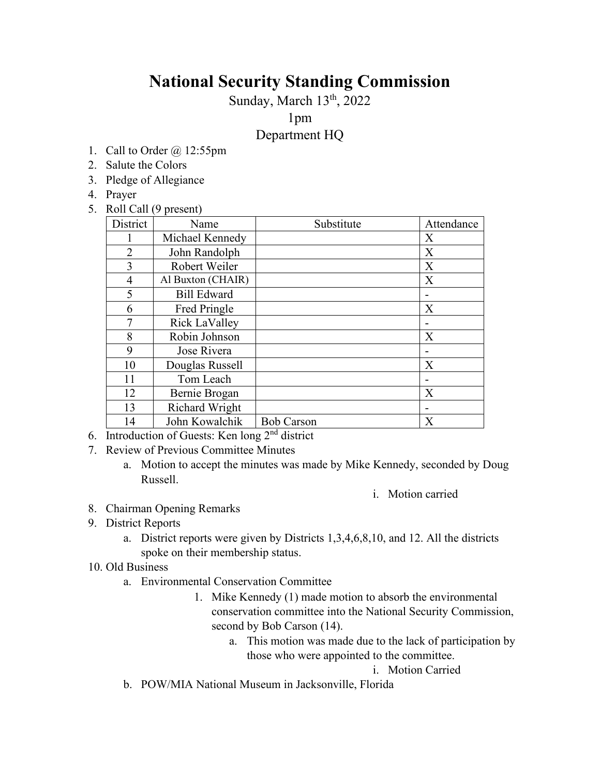# **National Security Standing Commission**

Sunday, March 13<sup>th</sup>, 2022

1pm

# Department HQ

- 1. Call to Order @ 12:55pm
- 2. Salute the Colors
- 3. Pledge of Allegiance
- 4. Prayer
- 5. Roll Call (9 present)

| District       | Name                  | Substitute        | Attendance |
|----------------|-----------------------|-------------------|------------|
|                | Michael Kennedy       |                   | X          |
| $\overline{2}$ | John Randolph         |                   | X          |
| 3              | Robert Weiler         |                   | X          |
| $\overline{4}$ | Al Buxton (CHAIR)     |                   | X          |
| 5              | <b>Bill Edward</b>    |                   |            |
| 6              | Fred Pringle          |                   | X          |
| $\overline{7}$ | Rick LaValley         |                   |            |
| 8              | Robin Johnson         |                   | X          |
| 9              | Jose Rivera           |                   |            |
| 10             | Douglas Russell       |                   | X          |
| 11             | Tom Leach             |                   |            |
| 12             | Bernie Brogan         |                   | X          |
| 13             | <b>Richard Wright</b> |                   |            |
| 14             | John Kowalchik        | <b>Bob Carson</b> | X          |

- 6. Introduction of Guests: Ken long 2nd district
- 7. Review of Previous Committee Minutes
	- a. Motion to accept the minutes was made by Mike Kennedy, seconded by Doug Russell.

i. Motion carried

- 8. Chairman Opening Remarks
- 9. District Reports
	- a. District reports were given by Districts 1,3,4,6,8,10, and 12. All the districts spoke on their membership status.
- 10. Old Business
	- a. Environmental Conservation Committee
		- 1. Mike Kennedy (1) made motion to absorb the environmental conservation committee into the National Security Commission, second by Bob Carson (14).
			- a. This motion was made due to the lack of participation by those who were appointed to the committee.

i. Motion Carried

b. POW/MIA National Museum in Jacksonville, Florida